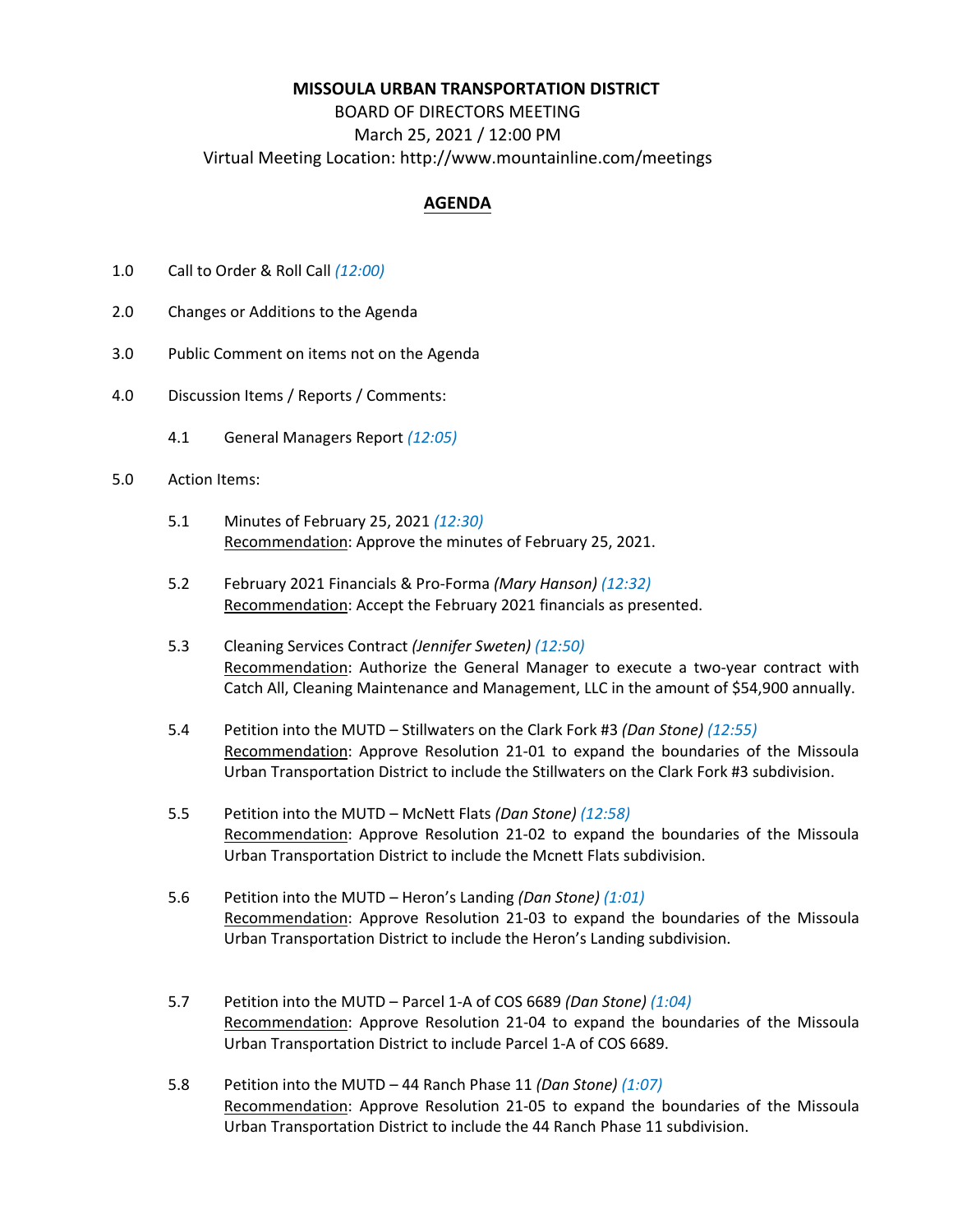## **MISSOULA URBAN TRANSPORTATION DISTRICT**

## BOARD OF DIRECTORS MEETING March 25, 2021 / 12:00 PM Virtual Meeting Location: http://www.mountainline.com/meetings

## **AGENDA**

- 1.0 Call to Order & Roll Call *(12:00)*
- 2.0 Changes or Additions to the Agenda
- 3.0 Public Comment on items not on the Agenda
- 4.0 Discussion Items / Reports / Comments:
	- 4.1 General Managers Report *(12:05)*
- 5.0 Action Items:
	- 5.1 Minutes of February 25, 2021 *(12:30)* Recommendation: Approve the minutes of February 25, 2021.
	- 5.2 February 2021 Financials & Pro‐Forma *(Mary Hanson) (12:32)* Recommendation: Accept the February 2021 financials as presented.
	- 5.3 Cleaning Services Contract *(Jennifer Sweten) (12:50)* Recommendation: Authorize the General Manager to execute a two-year contract with Catch All, Cleaning Maintenance and Management, LLC in the amount of \$54,900 annually.
	- 5.4 Petition into the MUTD Stillwaters on the Clark Fork #3 *(Dan Stone) (12:55)* Recommendation: Approve Resolution 21‐01 to expand the boundaries of the Missoula Urban Transportation District to include the Stillwaters on the Clark Fork #3 subdivision.
	- 5.5 Petition into the MUTD McNett Flats *(Dan Stone) (12:58)* Recommendation: Approve Resolution 21‐02 to expand the boundaries of the Missoula Urban Transportation District to include the Mcnett Flats subdivision.
	- 5.6 Petition into the MUTD Heron's Landing *(Dan Stone) (1:01)* Recommendation: Approve Resolution 21‐03 to expand the boundaries of the Missoula Urban Transportation District to include the Heron's Landing subdivision.
	- 5.7 Petition into the MUTD Parcel 1‐A of COS 6689 *(Dan Stone) (1:04)* Recommendation: Approve Resolution 21‐04 to expand the boundaries of the Missoula Urban Transportation District to include Parcel 1‐A of COS 6689.
	- 5.8 Petition into the MUTD 44 Ranch Phase 11 *(Dan Stone) (1:07)* Recommendation: Approve Resolution 21‐05 to expand the boundaries of the Missoula Urban Transportation District to include the 44 Ranch Phase 11 subdivision.